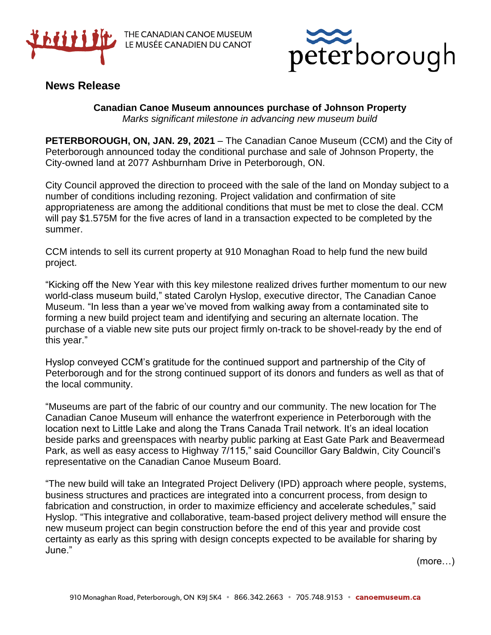

THE CANADIAN CANOE MUSEUM LE MUSÉE CANADIEN DU CANOT



## **News Release**

**Canadian Canoe Museum announces purchase of Johnson Property** *Marks significant milestone in advancing new museum build*

**PETERBOROUGH, ON, JAN. 29, 2021** – The Canadian Canoe Museum (CCM) and the City of Peterborough announced today the conditional purchase and sale of Johnson Property, the City-owned land at 2077 Ashburnham Drive in Peterborough, ON.

City Council approved the direction to proceed with the sale of the land on Monday subject to a number of conditions including rezoning. Project validation and confirmation of site appropriateness are among the additional conditions that must be met to close the deal. CCM will pay \$1.575M for the five acres of land in a transaction expected to be completed by the summer.

CCM intends to sell its current property at 910 Monaghan Road to help fund the new build project.

"Kicking off the New Year with this key milestone realized drives further momentum to our new world-class museum build," stated Carolyn Hyslop, executive director, The Canadian Canoe Museum. "In less than a year we've moved from walking away from a contaminated site to forming a new build project team and identifying and securing an alternate location. The purchase of a viable new site puts our project firmly on-track to be shovel-ready by the end of this year."

Hyslop conveyed CCM's gratitude for the continued support and partnership of the City of Peterborough and for the strong continued support of its donors and funders as well as that of the local community.

"Museums are part of the fabric of our country and our community. The new location for The Canadian Canoe Museum will enhance the waterfront experience in Peterborough with the location next to Little Lake and along the Trans Canada Trail network. It's an ideal location beside parks and greenspaces with nearby public parking at East Gate Park and Beavermead Park, as well as easy access to Highway 7/115," said Councillor Gary Baldwin, City Council's representative on the Canadian Canoe Museum Board.

"The new build will take an Integrated Project Delivery (IPD) approach where people, systems, business structures and practices are integrated into a concurrent process, from design to fabrication and construction, in order to maximize efficiency and accelerate schedules," said Hyslop. "This integrative and collaborative, team-based project delivery method will ensure the new museum project can begin construction before the end of this year and provide cost certainty as early as this spring with design concepts expected to be available for sharing by June."

(more…)